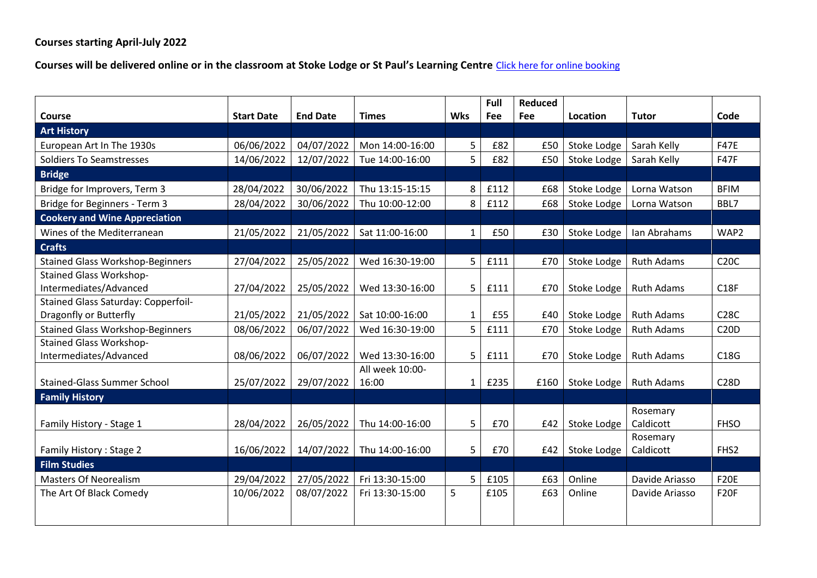**Courses will be delivered online or in the classroom at Stoke Lodge or St Paul's Learning Centre** [Click here for online booking](https://www.webenrol.com/bristolcourses/Default.asp?page=home)

|                                            |                   |                 |                 |                | Full       | Reduced |             |                   |                  |
|--------------------------------------------|-------------------|-----------------|-----------------|----------------|------------|---------|-------------|-------------------|------------------|
| Course                                     | <b>Start Date</b> | <b>End Date</b> | <b>Times</b>    | <b>Wks</b>     | <b>Fee</b> | Fee     | Location    | <b>Tutor</b>      | Code             |
| <b>Art History</b>                         |                   |                 |                 |                |            |         |             |                   |                  |
| European Art In The 1930s                  | 06/06/2022        | 04/07/2022      | Mon 14:00-16:00 | 5              | £82        | £50     | Stoke Lodge | Sarah Kelly       | <b>F47E</b>      |
| <b>Soldiers To Seamstresses</b>            | 14/06/2022        | 12/07/2022      | Tue 14:00-16:00 | 5              | £82        | £50     | Stoke Lodge | Sarah Kelly       | <b>F47F</b>      |
| <b>Bridge</b>                              |                   |                 |                 |                |            |         |             |                   |                  |
| Bridge for Improvers, Term 3               | 28/04/2022        | 30/06/2022      | Thu 13:15-15:15 | 8              | £112       | £68     | Stoke Lodge | Lorna Watson      | <b>BFIM</b>      |
| Bridge for Beginners - Term 3              | 28/04/2022        | 30/06/2022      | Thu 10:00-12:00 | 8              | £112       | £68     | Stoke Lodge | Lorna Watson      | BBL7             |
| <b>Cookery and Wine Appreciation</b>       |                   |                 |                 |                |            |         |             |                   |                  |
| Wines of the Mediterranean                 | 21/05/2022        | 21/05/2022      | Sat 11:00-16:00 | $\mathbf{1}$   | £50        | £30     | Stoke Lodge | Ian Abrahams      | WAP2             |
| <b>Crafts</b>                              |                   |                 |                 |                |            |         |             |                   |                  |
| <b>Stained Glass Workshop-Beginners</b>    | 27/04/2022        | 25/05/2022      | Wed 16:30-19:00 | 5              | £111       | £70     | Stoke Lodge | <b>Ruth Adams</b> | C20C             |
| <b>Stained Glass Workshop-</b>             |                   |                 |                 |                |            |         |             |                   |                  |
| Intermediates/Advanced                     | 27/04/2022        | 25/05/2022      | Wed 13:30-16:00 | 5              | £111       | £70     | Stoke Lodge | <b>Ruth Adams</b> | C18F             |
| <b>Stained Glass Saturday: Copperfoil-</b> |                   |                 |                 |                |            |         |             |                   |                  |
| Dragonfly or Butterfly                     | 21/05/2022        | 21/05/2022      | Sat 10:00-16:00 | $\mathbf{1}$   | £55        | £40     | Stoke Lodge | <b>Ruth Adams</b> | <b>C28C</b>      |
| <b>Stained Glass Workshop-Beginners</b>    | 08/06/2022        | 06/07/2022      | Wed 16:30-19:00 | 5 <sup>1</sup> | £111       | £70     | Stoke Lodge | <b>Ruth Adams</b> | <b>C20D</b>      |
| <b>Stained Glass Workshop-</b>             |                   |                 |                 |                |            |         |             |                   |                  |
| Intermediates/Advanced                     | 08/06/2022        | 06/07/2022      | Wed 13:30-16:00 | 5              | £111       | £70     | Stoke Lodge | <b>Ruth Adams</b> | C18G             |
|                                            |                   |                 | All week 10:00- |                |            |         |             |                   |                  |
| <b>Stained-Glass Summer School</b>         | 25/07/2022        | 29/07/2022      | 16:00           | 1              | £235       | £160    | Stoke Lodge | <b>Ruth Adams</b> | <b>C28D</b>      |
| <b>Family History</b>                      |                   |                 |                 |                |            |         |             |                   |                  |
|                                            |                   |                 |                 |                |            |         |             | Rosemary          |                  |
| Family History - Stage 1                   | 28/04/2022        | 26/05/2022      | Thu 14:00-16:00 | 5              | £70        | £42     | Stoke Lodge | Caldicott         | <b>FHSO</b>      |
|                                            |                   |                 |                 |                |            |         |             | Rosemary          |                  |
| Family History: Stage 2                    | 16/06/2022        | 14/07/2022      | Thu 14:00-16:00 | 5              | £70        | £42     | Stoke Lodge | Caldicott         | FHS <sub>2</sub> |
| <b>Film Studies</b>                        |                   |                 |                 |                |            |         |             |                   |                  |
| <b>Masters Of Neorealism</b>               | 29/04/2022        | 27/05/2022      | Fri 13:30-15:00 | 5              | £105       | £63     | Online      | Davide Ariasso    | <b>F20E</b>      |
| The Art Of Black Comedy                    | 10/06/2022        | 08/07/2022      | Fri 13:30-15:00 | 5              | £105       | £63     | Online      | Davide Ariasso    | <b>F20F</b>      |
|                                            |                   |                 |                 |                |            |         |             |                   |                  |
|                                            |                   |                 |                 |                |            |         |             |                   |                  |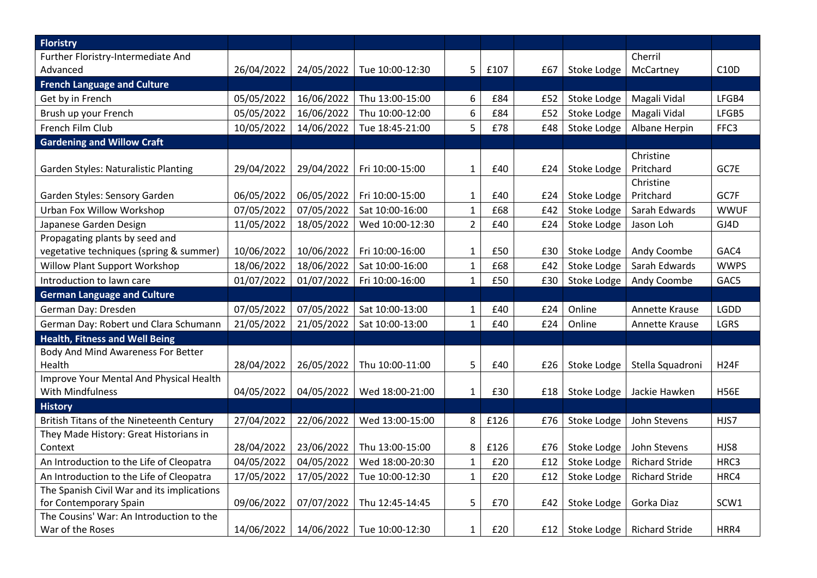| <b>Floristry</b>                           |            |            |                 |                |      |     |             |                       |             |
|--------------------------------------------|------------|------------|-----------------|----------------|------|-----|-------------|-----------------------|-------------|
| Further Floristry-Intermediate And         |            |            |                 |                |      |     |             | Cherril               |             |
| Advanced                                   | 26/04/2022 | 24/05/2022 | Tue 10:00-12:30 | 5              | £107 | £67 | Stoke Lodge | McCartney             | C10D        |
| <b>French Language and Culture</b>         |            |            |                 |                |      |     |             |                       |             |
| Get by in French                           | 05/05/2022 | 16/06/2022 | Thu 13:00-15:00 | 6              | £84  | £52 | Stoke Lodge | Magali Vidal          | LFGB4       |
| Brush up your French                       | 05/05/2022 | 16/06/2022 | Thu 10:00-12:00 | 6              | £84  | £52 | Stoke Lodge | Magali Vidal          | LFGB5       |
| French Film Club                           | 10/05/2022 | 14/06/2022 | Tue 18:45-21:00 | 5              | £78  | £48 | Stoke Lodge | Albane Herpin         | FFC3        |
| <b>Gardening and Willow Craft</b>          |            |            |                 |                |      |     |             |                       |             |
|                                            |            |            |                 |                |      |     |             | Christine             |             |
| Garden Styles: Naturalistic Planting       | 29/04/2022 | 29/04/2022 | Fri 10:00-15:00 | $\mathbf 1$    | £40  | £24 | Stoke Lodge | Pritchard             | GC7E        |
|                                            |            |            |                 |                |      |     |             | Christine             |             |
| Garden Styles: Sensory Garden              | 06/05/2022 | 06/05/2022 | Fri 10:00-15:00 | $\mathbf{1}$   | £40  | £24 | Stoke Lodge | Pritchard             | GC7F        |
| Urban Fox Willow Workshop                  | 07/05/2022 | 07/05/2022 | Sat 10:00-16:00 | $\mathbf{1}$   | £68  | £42 | Stoke Lodge | Sarah Edwards         | <b>WWUF</b> |
| Japanese Garden Design                     | 11/05/2022 | 18/05/2022 | Wed 10:00-12:30 | $\overline{2}$ | £40  | £24 | Stoke Lodge | Jason Loh             | GJ4D        |
| Propagating plants by seed and             |            |            |                 |                |      |     |             |                       |             |
| vegetative techniques (spring & summer)    | 10/06/2022 | 10/06/2022 | Fri 10:00-16:00 | $\mathbf{1}$   | £50  | £30 | Stoke Lodge | Andy Coombe           | GAC4        |
| <b>Willow Plant Support Workshop</b>       | 18/06/2022 | 18/06/2022 | Sat 10:00-16:00 | $\mathbf{1}$   | £68  | £42 | Stoke Lodge | Sarah Edwards         | <b>WWPS</b> |
| Introduction to lawn care                  | 01/07/2022 | 01/07/2022 | Fri 10:00-16:00 | $\mathbf{1}$   | £50  | £30 | Stoke Lodge | Andy Coombe           | GAC5        |
| <b>German Language and Culture</b>         |            |            |                 |                |      |     |             |                       |             |
| German Day: Dresden                        | 07/05/2022 | 07/05/2022 | Sat 10:00-13:00 | $\mathbf 1$    | £40  | £24 | Online      | Annette Krause        | <b>LGDD</b> |
| German Day: Robert und Clara Schumann      | 21/05/2022 | 21/05/2022 | Sat 10:00-13:00 | $\mathbf{1}$   | £40  | £24 | Online      | Annette Krause        | <b>LGRS</b> |
| <b>Health, Fitness and Well Being</b>      |            |            |                 |                |      |     |             |                       |             |
| Body And Mind Awareness For Better         |            |            |                 |                |      |     |             |                       |             |
| Health                                     | 28/04/2022 | 26/05/2022 | Thu 10:00-11:00 | 5              | £40  | £26 | Stoke Lodge | Stella Squadroni      | <b>H24F</b> |
| Improve Your Mental And Physical Health    |            |            |                 |                |      |     |             |                       |             |
| With Mindfulness                           | 04/05/2022 | 04/05/2022 | Wed 18:00-21:00 | $\mathbf 1$    | £30  | £18 | Stoke Lodge | Jackie Hawken         | <b>H56E</b> |
| <b>History</b>                             |            |            |                 |                |      |     |             |                       |             |
| British Titans of the Nineteenth Century   | 27/04/2022 | 22/06/2022 | Wed 13:00-15:00 | 8              | £126 | £76 | Stoke Lodge | John Stevens          | HJS7        |
| They Made History: Great Historians in     |            |            |                 |                |      |     |             |                       |             |
| Context                                    | 28/04/2022 | 23/06/2022 | Thu 13:00-15:00 | 8              | £126 | £76 | Stoke Lodge | John Stevens          | HJS8        |
| An Introduction to the Life of Cleopatra   | 04/05/2022 | 04/05/2022 | Wed 18:00-20:30 | $\mathbf{1}$   | £20  | £12 | Stoke Lodge | <b>Richard Stride</b> | HRC3        |
| An Introduction to the Life of Cleopatra   | 17/05/2022 | 17/05/2022 | Tue 10:00-12:30 | $\mathbf{1}$   | £20  | £12 | Stoke Lodge | <b>Richard Stride</b> | HRC4        |
| The Spanish Civil War and its implications |            |            |                 |                |      |     |             |                       |             |
| for Contemporary Spain                     | 09/06/2022 | 07/07/2022 | Thu 12:45-14:45 | 5              | £70  | £42 | Stoke Lodge | Gorka Diaz            | SCW1        |
| The Cousins' War: An Introduction to the   |            |            |                 |                |      |     |             |                       |             |
| War of the Roses                           | 14/06/2022 | 14/06/2022 | Tue 10:00-12:30 | $\mathbf{1}$   | £20  | f12 | Stoke Lodge | <b>Richard Stride</b> | HRR4        |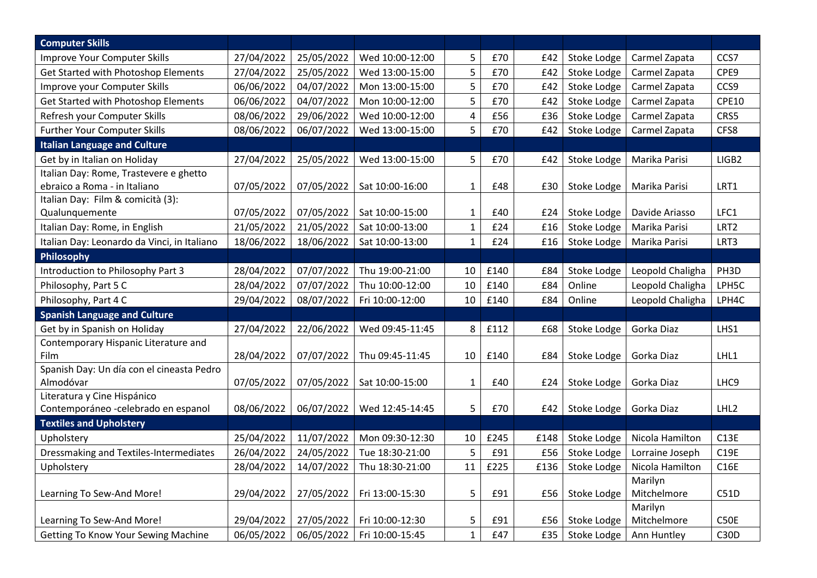| <b>Computer Skills</b>                        |            |            |                 |              |      |      |             |                        |                   |
|-----------------------------------------------|------------|------------|-----------------|--------------|------|------|-------------|------------------------|-------------------|
| Improve Your Computer Skills                  | 27/04/2022 | 25/05/2022 | Wed 10:00-12:00 | 5            | £70  | £42  | Stoke Lodge | Carmel Zapata          | CCS7              |
| Get Started with Photoshop Elements           | 27/04/2022 | 25/05/2022 | Wed 13:00-15:00 | 5            | £70  | £42  | Stoke Lodge | Carmel Zapata          | CPE9              |
| Improve your Computer Skills                  | 06/06/2022 | 04/07/2022 | Mon 13:00-15:00 | 5            | £70  | £42  | Stoke Lodge | Carmel Zapata          | CCS <sub>9</sub>  |
| Get Started with Photoshop Elements           | 06/06/2022 | 04/07/2022 | Mon 10:00-12:00 | 5            | £70  | £42  | Stoke Lodge | Carmel Zapata          | <b>CPE10</b>      |
| Refresh your Computer Skills                  | 08/06/2022 | 29/06/2022 | Wed 10:00-12:00 | 4            | £56  | £36  | Stoke Lodge | Carmel Zapata          | CRS5              |
| Further Your Computer Skills                  | 08/06/2022 | 06/07/2022 | Wed 13:00-15:00 | 5            | £70  | £42  | Stoke Lodge | Carmel Zapata          | CFS8              |
| <b>Italian Language and Culture</b>           |            |            |                 |              |      |      |             |                        |                   |
| Get by in Italian on Holiday                  | 27/04/2022 | 25/05/2022 | Wed 13:00-15:00 | 5            | £70  | £42  | Stoke Lodge | Marika Parisi          | LIGB <sub>2</sub> |
| Italian Day: Rome, Trastevere e ghetto        |            |            |                 |              |      |      |             |                        |                   |
| ebraico a Roma - in Italiano                  | 07/05/2022 | 07/05/2022 | Sat 10:00-16:00 | $\mathbf{1}$ | £48  | £30  | Stoke Lodge | Marika Parisi          | LRT1              |
| Italian Day: Film & comicità (3):             |            |            |                 |              |      |      |             |                        |                   |
| Qualunquemente                                | 07/05/2022 | 07/05/2022 | Sat 10:00-15:00 | 1            | £40  | £24  | Stoke Lodge | Davide Ariasso         | LFC1              |
| Italian Day: Rome, in English                 | 21/05/2022 | 21/05/2022 | Sat 10:00-13:00 | $\mathbf{1}$ | £24  | £16  | Stoke Lodge | Marika Parisi          | LRT <sub>2</sub>  |
| Italian Day: Leonardo da Vinci, in Italiano   | 18/06/2022 | 18/06/2022 | Sat 10:00-13:00 | 1            | £24  | £16  | Stoke Lodge | Marika Parisi          | LRT3              |
| Philosophy                                    |            |            |                 |              |      |      |             |                        |                   |
| Introduction to Philosophy Part 3             | 28/04/2022 | 07/07/2022 | Thu 19:00-21:00 | 10           | £140 | £84  | Stoke Lodge | Leopold Chaligha       | PH <sub>3</sub> D |
| Philosophy, Part 5 C                          | 28/04/2022 | 07/07/2022 | Thu 10:00-12:00 | 10           | £140 | £84  | Online      | Leopold Chaligha       | LPH5C             |
| Philosophy, Part 4 C                          | 29/04/2022 | 08/07/2022 | Fri 10:00-12:00 | 10           | £140 | £84  | Online      | Leopold Chaligha       | LPH4C             |
| <b>Spanish Language and Culture</b>           |            |            |                 |              |      |      |             |                        |                   |
| Get by in Spanish on Holiday                  | 27/04/2022 | 22/06/2022 | Wed 09:45-11:45 | 8            | £112 | £68  | Stoke Lodge | Gorka Diaz             | LHS1              |
| Contemporary Hispanic Literature and          |            |            |                 |              |      |      |             |                        |                   |
| Film                                          | 28/04/2022 | 07/07/2022 | Thu 09:45-11:45 | 10           | £140 | £84  | Stoke Lodge | Gorka Diaz             | LHL1              |
| Spanish Day: Un día con el cineasta Pedro     |            |            |                 |              |      |      |             |                        |                   |
| Almodóvar                                     | 07/05/2022 | 07/05/2022 | Sat 10:00-15:00 | 1            | £40  | £24  | Stoke Lodge | Gorka Diaz             | LHC <sub>9</sub>  |
| Literatura y Cine Hispánico                   |            |            |                 |              |      |      |             |                        |                   |
| Contemporáneo -celebrado en espanol           | 08/06/2022 | 06/07/2022 | Wed 12:45-14:45 | 5            | £70  | £42  | Stoke Lodge | Gorka Diaz             | LHL <sub>2</sub>  |
| <b>Textiles and Upholstery</b>                |            |            |                 |              |      |      |             |                        |                   |
| Upholstery                                    | 25/04/2022 | 11/07/2022 | Mon 09:30-12:30 | 10           | £245 | £148 | Stoke Lodge | Nicola Hamilton        | C13E              |
| <b>Dressmaking and Textiles-Intermediates</b> | 26/04/2022 | 24/05/2022 | Tue 18:30-21:00 | 5            | £91  | £56  | Stoke Lodge | Lorraine Joseph        | C19E              |
| Upholstery                                    | 28/04/2022 | 14/07/2022 | Thu 18:30-21:00 | $11\,$       | £225 | £136 | Stoke Lodge | Nicola Hamilton        | C16E              |
| Learning To Sew-And More!                     | 29/04/2022 | 27/05/2022 | Fri 13:00-15:30 | 5            | £91  | £56  | Stoke Lodge | Marilyn<br>Mitchelmore | C51D              |
|                                               |            |            |                 |              |      |      |             | Marilyn                |                   |
| Learning To Sew-And More!                     | 29/04/2022 | 27/05/2022 | Fri 10:00-12:30 | 5            | £91  | £56  | Stoke Lodge | Mitchelmore            | C50E              |
| <b>Getting To Know Your Sewing Machine</b>    | 06/05/2022 | 06/05/2022 | Fri 10:00-15:45 | $\mathbf{1}$ | £47  | £35  | Stoke Lodge | Ann Huntley            | C30D              |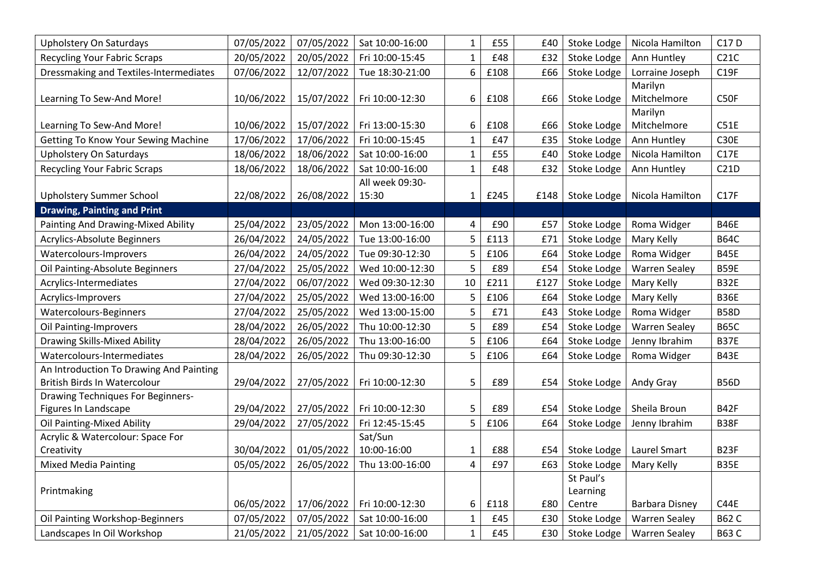| Upholstery On Saturdays                       | 07/05/2022 | 07/05/2022 | Sat 10:00-16:00 | $\mathbf{1}$ | £55  | £40  | Stoke Lodge | Nicola Hamilton      | C17 D            |
|-----------------------------------------------|------------|------------|-----------------|--------------|------|------|-------------|----------------------|------------------|
| <b>Recycling Your Fabric Scraps</b>           | 20/05/2022 | 20/05/2022 | Fri 10:00-15:45 | $\mathbf{1}$ | £48  | £32  | Stoke Lodge | Ann Huntley          | C21C             |
| <b>Dressmaking and Textiles-Intermediates</b> | 07/06/2022 | 12/07/2022 | Tue 18:30-21:00 | 6            | £108 | £66  | Stoke Lodge | Lorraine Joseph      | C19F             |
|                                               |            |            |                 |              |      |      |             | Marilyn              |                  |
| Learning To Sew-And More!                     | 10/06/2022 | 15/07/2022 | Fri 10:00-12:30 | 6            | £108 | £66  | Stoke Lodge | Mitchelmore          | C50F             |
|                                               |            |            |                 |              |      |      |             | Marilyn              |                  |
| Learning To Sew-And More!                     | 10/06/2022 | 15/07/2022 | Fri 13:00-15:30 | 6            | £108 | £66  | Stoke Lodge | Mitchelmore          | <b>C51E</b>      |
| <b>Getting To Know Your Sewing Machine</b>    | 17/06/2022 | 17/06/2022 | Fri 10:00-15:45 | $\mathbf{1}$ | £47  | £35  | Stoke Lodge | Ann Huntley          | <b>C30E</b>      |
| Upholstery On Saturdays                       | 18/06/2022 | 18/06/2022 | Sat 10:00-16:00 | $\mathbf{1}$ | £55  | £40  | Stoke Lodge | Nicola Hamilton      | C17E             |
| <b>Recycling Your Fabric Scraps</b>           | 18/06/2022 | 18/06/2022 | Sat 10:00-16:00 | $\mathbf{1}$ | £48  | £32  | Stoke Lodge | Ann Huntley          | C21D             |
|                                               |            |            | All week 09:30- |              |      |      |             |                      |                  |
| <b>Upholstery Summer School</b>               | 22/08/2022 | 26/08/2022 | 15:30           | 1            | £245 | £148 | Stoke Lodge | Nicola Hamilton      | C17F             |
| <b>Drawing, Painting and Print</b>            |            |            |                 |              |      |      |             |                      |                  |
| Painting And Drawing-Mixed Ability            | 25/04/2022 | 23/05/2022 | Mon 13:00-16:00 | 4            | £90  | £57  | Stoke Lodge | Roma Widger          | <b>B46E</b>      |
| Acrylics-Absolute Beginners                   | 26/04/2022 | 24/05/2022 | Tue 13:00-16:00 | 5            | £113 | £71  | Stoke Lodge | Mary Kelly           | <b>B64C</b>      |
| Watercolours-Improvers                        | 26/04/2022 | 24/05/2022 | Tue 09:30-12:30 | 5            | £106 | £64  | Stoke Lodge | Roma Widger          | <b>B45E</b>      |
| Oil Painting-Absolute Beginners               | 27/04/2022 | 25/05/2022 | Wed 10:00-12:30 | 5            | £89  | £54  | Stoke Lodge | <b>Warren Sealey</b> | <b>B59E</b>      |
| Acrylics-Intermediates                        | 27/04/2022 | 06/07/2022 | Wed 09:30-12:30 | $10\,$       | £211 | £127 | Stoke Lodge | Mary Kelly           | <b>B32E</b>      |
| Acrylics-Improvers                            | 27/04/2022 | 25/05/2022 | Wed 13:00-16:00 | 5            | £106 | £64  | Stoke Lodge | Mary Kelly           | <b>B36E</b>      |
| Watercolours-Beginners                        | 27/04/2022 | 25/05/2022 | Wed 13:00-15:00 | 5            | £71  | £43  | Stoke Lodge | Roma Widger          | <b>B58D</b>      |
| Oil Painting-Improvers                        | 28/04/2022 | 26/05/2022 | Thu 10:00-12:30 | 5            | £89  | £54  | Stoke Lodge | <b>Warren Sealey</b> | <b>B65C</b>      |
| <b>Drawing Skills-Mixed Ability</b>           | 28/04/2022 | 26/05/2022 | Thu 13:00-16:00 | 5            | £106 | £64  | Stoke Lodge | Jenny Ibrahim        | <b>B37E</b>      |
| Watercolours-Intermediates                    | 28/04/2022 | 26/05/2022 | Thu 09:30-12:30 | 5            | £106 | £64  | Stoke Lodge | Roma Widger          | <b>B43E</b>      |
| An Introduction To Drawing And Painting       |            |            |                 |              |      |      |             |                      |                  |
| <b>British Birds In Watercolour</b>           | 29/04/2022 | 27/05/2022 | Fri 10:00-12:30 | 5            | £89  | £54  | Stoke Lodge | Andy Gray            | <b>B56D</b>      |
| <b>Drawing Techniques For Beginners-</b>      |            |            |                 |              |      |      |             |                      |                  |
| Figures In Landscape                          | 29/04/2022 | 27/05/2022 | Fri 10:00-12:30 | 5            | £89  | £54  | Stoke Lodge | Sheila Broun         | <b>B42F</b>      |
| Oil Painting-Mixed Ability                    | 29/04/2022 | 27/05/2022 | Fri 12:45-15:45 | 5            | £106 | £64  | Stoke Lodge | Jenny Ibrahim        | <b>B38F</b>      |
| Acrylic & Watercolour: Space For              |            |            | Sat/Sun         |              |      |      |             |                      |                  |
| Creativity                                    | 30/04/2022 | 01/05/2022 | 10:00-16:00     | 1            | £88  | £54  | Stoke Lodge | Laurel Smart         | B <sub>23F</sub> |
| <b>Mixed Media Painting</b>                   | 05/05/2022 | 26/05/2022 | Thu 13:00-16:00 | 4            | £97  | £63  | Stoke Lodge | Mary Kelly           | <b>B35E</b>      |
|                                               |            |            |                 |              |      |      | St Paul's   |                      |                  |
| Printmaking                                   |            |            |                 |              |      |      | Learning    |                      |                  |
|                                               | 06/05/2022 | 17/06/2022 | Fri 10:00-12:30 | 6            | £118 | £80  | Centre      | Barbara Disney       | C44E             |
| Oil Painting Workshop-Beginners               | 07/05/2022 | 07/05/2022 | Sat 10:00-16:00 | $\mathbf{1}$ | £45  | £30  | Stoke Lodge | <b>Warren Sealey</b> | <b>B62 C</b>     |
| Landscapes In Oil Workshop                    | 21/05/2022 | 21/05/2022 | Sat 10:00-16:00 | $\mathbf 1$  | £45  | £30  | Stoke Lodge | <b>Warren Sealey</b> | <b>B63 C</b>     |